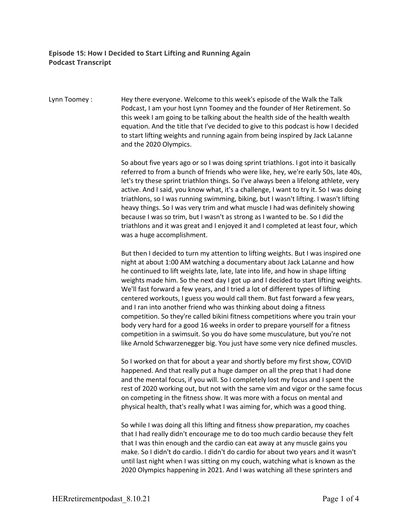## **Episode 15: How I Decided to Start Lifting and Running Again Podcast Transcript**

Lynn Toomey : Hey there everyone. Welcome to this week's episode of the Walk the Talk Podcast, I am your host Lynn Toomey and the founder of Her Retirement. So this week I am going to be talking about the health side of the health wealth equation. And the title that I've decided to give to this podcast is how I decided to start lifting weights and running again from being inspired by Jack LaLanne and the 2020 Olympics.

> So about five years ago or so I was doing sprint triathlons. I got into it basically referred to from a bunch of friends who were like, hey, we're early 50s, late 40s, let's try these sprint triathlon things. So I've always been a lifelong athlete, very active. And I said, you know what, it's a challenge, I want to try it. So I was doing triathlons, so I was running swimming, biking, but I wasn't lifting. I wasn't lifting heavy things. So I was very trim and what muscle I had was definitely showing because I was so trim, but I wasn't as strong as I wanted to be. So I did the triathlons and it was great and I enjoyed it and I completed at least four, which was a huge accomplishment.

> But then I decided to turn my attention to lifting weights. But I was inspired one night at about 1:00 AM watching a documentary about Jack LaLanne and how he continued to lift weights late, late, late into life, and how in shape lifting weights made him. So the next day I got up and I decided to start lifting weights. We'll fast forward a few years, and I tried a lot of different types of lifting centered workouts, I guess you would call them. But fast forward a few years, and I ran into another friend who was thinking about doing a fitness competition. So they're called bikini fitness competitions where you train your body very hard for a good 16 weeks in order to prepare yourself for a fitness competition in a swimsuit. So you do have some musculature, but you're not like Arnold Schwarzenegger big. You just have some very nice defined muscles.

> So I worked on that for about a year and shortly before my first show, COVID happened. And that really put a huge damper on all the prep that I had done and the mental focus, if you will. So I completely lost my focus and I spent the rest of 2020 working out, but not with the same vim and vigor or the same focus on competing in the fitness show. It was more with a focus on mental and physical health, that's really what I was aiming for, which was a good thing.

So while I was doing all this lifting and fitness show preparation, my coaches that I had really didn't encourage me to do too much cardio because they felt that I was thin enough and the cardio can eat away at any muscle gains you make. So I didn't do cardio. I didn't do cardio for about two years and it wasn't until last night when I was sitting on my couch, watching what is known as the 2020 Olympics happening in 2021. And I was watching all these sprinters and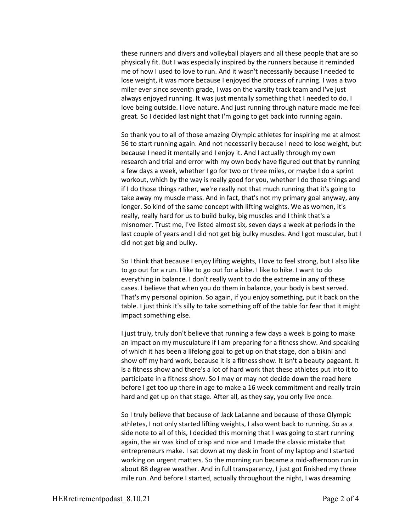these runners and divers and volleyball players and all these people that are so physically fit. But I was especially inspired by the runners because it reminded me of how I used to love to run. And it wasn't necessarily because I needed to lose weight, it was more because I enjoyed the process of running. I was a two miler ever since seventh grade, I was on the varsity track team and I've just always enjoyed running. It was just mentally something that I needed to do. I love being outside. I love nature. And just running through nature made me feel great. So I decided last night that I'm going to get back into running again.

So thank you to all of those amazing Olympic athletes for inspiring me at almost 56 to start running again. And not necessarily because I need to lose weight, but because I need it mentally and I enjoy it. And I actually through my own research and trial and error with my own body have figured out that by running a few days a week, whether I go for two or three miles, or maybe I do a sprint workout, which by the way is really good for you, whether I do those things and if I do those things rather, we're really not that much running that it's going to take away my muscle mass. And in fact, that's not my primary goal anyway, any longer. So kind of the same concept with lifting weights. We as women, it's really, really hard for us to build bulky, big muscles and I think that's a misnomer. Trust me, I've listed almost six, seven days a week at periods in the last couple of years and I did not get big bulky muscles. And I got muscular, but I did not get big and bulky.

So I think that because I enjoy lifting weights, I love to feel strong, but I also like to go out for a run. I like to go out for a bike. I like to hike. I want to do everything in balance. I don't really want to do the extreme in any of these cases. I believe that when you do them in balance, your body is best served. That's my personal opinion. So again, if you enjoy something, put it back on the table. I just think it's silly to take something off of the table for fear that it might impact something else.

I just truly, truly don't believe that running a few days a week is going to make an impact on my musculature if I am preparing for a fitness show. And speaking of which it has been a lifelong goal to get up on that stage, don a bikini and show off my hard work, because it is a fitness show. It isn't a beauty pageant. It is a fitness show and there's a lot of hard work that these athletes put into it to participate in a fitness show. So I may or may not decide down the road here before I get too up there in age to make a 16 week commitment and really train hard and get up on that stage. After all, as they say, you only live once.

So I truly believe that because of Jack LaLanne and because of those Olympic athletes, I not only started lifting weights, I also went back to running. So as a side note to all of this, I decided this morning that I was going to start running again, the air was kind of crisp and nice and I made the classic mistake that entrepreneurs make. I sat down at my desk in front of my laptop and I started working on urgent matters. So the morning run became a mid-afternoon run in about 88 degree weather. And in full transparency, I just got finished my three mile run. And before I started, actually throughout the night, I was dreaming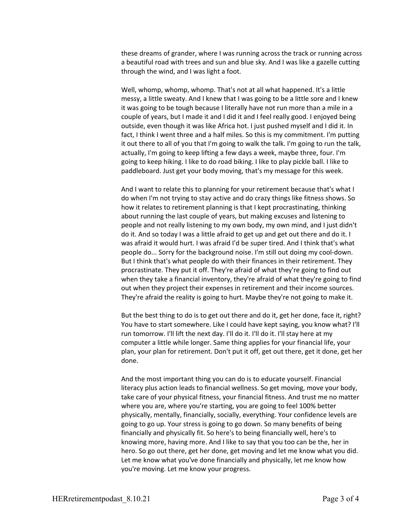these dreams of grander, where I was running across the track or running across a beautiful road with trees and sun and blue sky. And I was like a gazelle cutting through the wind, and I was light a foot.

Well, whomp, whomp, whomp. That's not at all what happened. It's a little messy, a little sweaty. And I knew that I was going to be a little sore and I knew it was going to be tough because I literally have not run more than a mile in a couple of years, but I made it and I did it and I feel really good. I enjoyed being outside, even though it was like Africa hot. I just pushed myself and I did it. In fact, I think I went three and a half miles. So this is my commitment. I'm putting it out there to all of you that I'm going to walk the talk. I'm going to run the talk, actually, I'm going to keep lifting a few days a week, maybe three, four. I'm going to keep hiking. I like to do road biking. I like to play pickle ball. I like to paddleboard. Just get your body moving, that's my message for this week.

And I want to relate this to planning for your retirement because that's what I do when I'm not trying to stay active and do crazy things like fitness shows. So how it relates to retirement planning is that I kept procrastinating, thinking about running the last couple of years, but making excuses and listening to people and not really listening to my own body, my own mind, and I just didn't do it. And so today I was a little afraid to get up and get out there and do it. I was afraid it would hurt. I was afraid I'd be super tired. And I think that's what people do... Sorry for the background noise. I'm still out doing my cool-down. But I think that's what people do with their finances in their retirement. They procrastinate. They put it off. They're afraid of what they're going to find out when they take a financial inventory, they're afraid of what they're going to find out when they project their expenses in retirement and their income sources. They're afraid the reality is going to hurt. Maybe they're not going to make it.

But the best thing to do is to get out there and do it, get her done, face it, right? You have to start somewhere. Like I could have kept saying, you know what? I'll run tomorrow. I'll lift the next day. I'll do it. I'll do it. I'll stay here at my computer a little while longer. Same thing applies for your financial life, your plan, your plan for retirement. Don't put it off, get out there, get it done, get her done.

And the most important thing you can do is to educate yourself. Financial literacy plus action leads to financial wellness. So get moving, move your body, take care of your physical fitness, your financial fitness. And trust me no matter where you are, where you're starting, you are going to feel 100% better physically, mentally, financially, socially, everything. Your confidence levels are going to go up. Your stress is going to go down. So many benefits of being financially and physically fit. So here's to being financially well, here's to knowing more, having more. And I like to say that you too can be the, her in hero. So go out there, get her done, get moving and let me know what you did. Let me know what you've done financially and physically, let me know how you're moving. Let me know your progress.